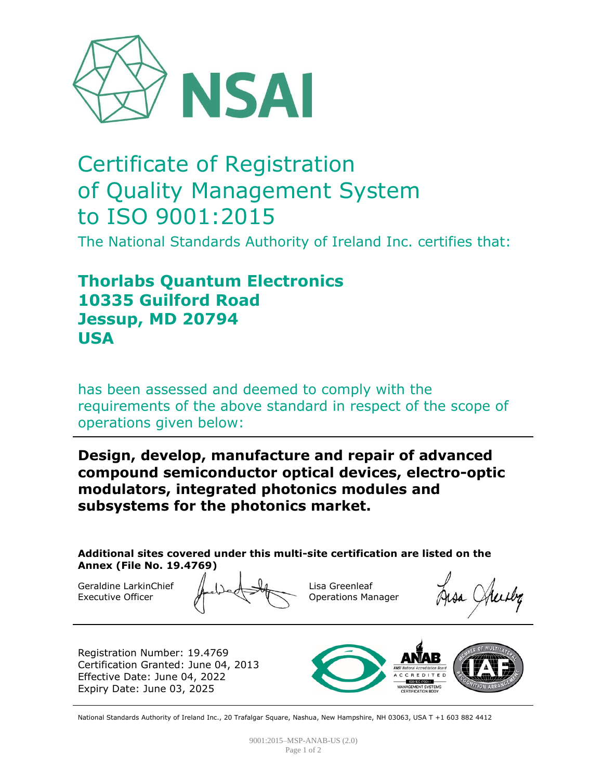

# Certificate of Registration of Quality Management System to ISO 9001:2015

The National Standards Authority of Ireland Inc. certifies that:

## **Thorlabs Quantum Electronics 10335 Guilford Road Jessup, MD 20794 USA**

has been assessed and deemed to comply with the requirements of the above standard in respect of the scope of operations given below:

#### **Design, develop, manufacture and repair of advanced compound semiconductor optical devices, electro-optic modulators, integrated photonics modules and subsystems for the photonics market.**

**Additional sites covered under this multi-site certification are listed on the Annex (File No. 19.4769)**

Geraldine LarkinChief Executive Officer

Lisa Greenleaf Operations Manager

Registration Number: 19.4769 Certification Granted: June 04, 2013 Effective Date: June 04, 2022 Expiry Date: June 03, 2025



National Standards Authority of Ireland Inc., 20 Trafalgar Square, Nashua, New Hampshire, NH 03063, USA T +1 603 882 4412